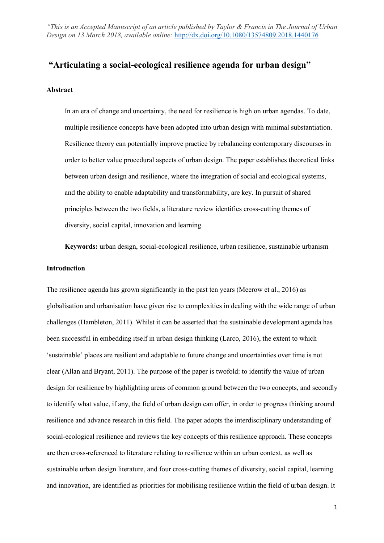# **"Articulating a social-ecological resilience agenda for urban design"**

# **Abstract**

In an era of change and uncertainty, the need for resilience is high on urban agendas. To date, multiple resilience concepts have been adopted into urban design with minimal substantiation. Resilience theory can potentially improve practice by rebalancing contemporary discourses in order to better value procedural aspects of urban design. The paper establishes theoretical links between urban design and resilience, where the integration of social and ecological systems, and the ability to enable adaptability and transformability, are key. In pursuit of shared principles between the two fields, a literature review identifies cross-cutting themes of diversity, social capital, innovation and learning.

**Keywords:** urban design, social-ecological resilience, urban resilience, sustainable urbanism

# **Introduction**

The resilience agenda has grown significantly in the past ten years (Meerow et al., 2016) as globalisation and urbanisation have given rise to complexities in dealing with the wide range of urban challenges (Hambleton, 2011). Whilst it can be asserted that the sustainable development agenda has been successful in embedding itself in urban design thinking (Larco, 2016), the extent to which 'sustainable' places are resilient and adaptable to future change and uncertainties over time is not clear (Allan and Bryant, 2011). The purpose of the paper is twofold: to identify the value of urban design for resilience by highlighting areas of common ground between the two concepts, and secondly to identify what value, if any, the field of urban design can offer, in order to progress thinking around resilience and advance research in this field. The paper adopts the interdisciplinary understanding of social-ecological resilience and reviews the key concepts of this resilience approach. These concepts are then cross-referenced to literature relating to resilience within an urban context, as well as sustainable urban design literature, and four cross-cutting themes of diversity, social capital, learning and innovation, are identified as priorities for mobilising resilience within the field of urban design. It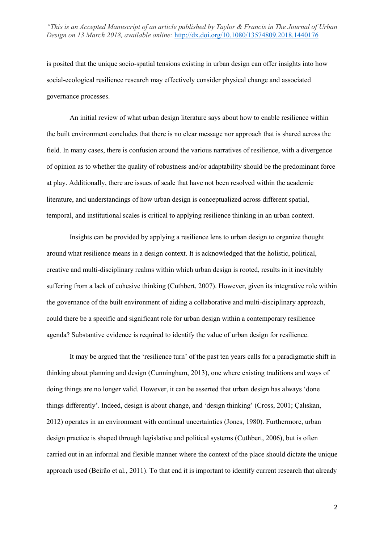is posited that the unique socio-spatial tensions existing in urban design can offer insights into how social-ecological resilience research may effectively consider physical change and associated governance processes.

An initial review of what urban design literature says about how to enable resilience within the built environment concludes that there is no clear message nor approach that is shared across the field. In many cases, there is confusion around the various narratives of resilience, with a divergence of opinion as to whether the quality of robustness and/or adaptability should be the predominant force at play. Additionally, there are issues of scale that have not been resolved within the academic literature, and understandings of how urban design is conceptualized across different spatial, temporal, and institutional scales is critical to applying resilience thinking in an urban context.

Insights can be provided by applying a resilience lens to urban design to organize thought around what resilience means in a design context. It is acknowledged that the holistic, political, creative and multi-disciplinary realms within which urban design is rooted, results in it inevitably suffering from a lack of cohesive thinking (Cuthbert, 2007). However, given its integrative role within the governance of the built environment of aiding a collaborative and multi-disciplinary approach, could there be a specific and significant role for urban design within a contemporary resilience agenda? Substantive evidence is required to identify the value of urban design for resilience.

It may be argued that the 'resilience turn' of the past ten years calls for a paradigmatic shift in thinking about planning and design (Cunningham, 2013), one where existing traditions and ways of doing things are no longer valid. However, it can be asserted that urban design has always 'done things differently'. Indeed, design is about change, and 'design thinking' (Cross, 2001; Çalıskan, 2012) operates in an environment with continual uncertainties (Jones, 1980). Furthermore, urban design practice is shaped through legislative and political systems (Cuthbert, 2006), but is often carried out in an informal and flexible manner where the context of the place should dictate the unique approach used (Beirão et al., 2011). To that end it is important to identify current research that already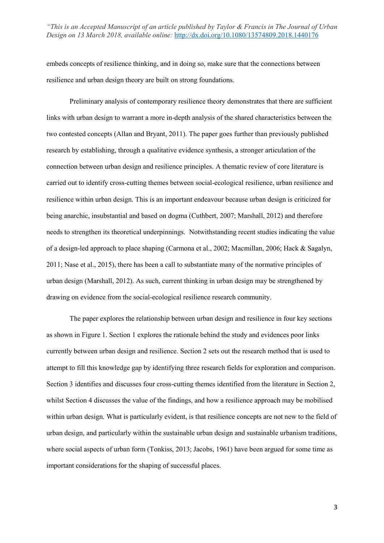embeds concepts of resilience thinking, and in doing so, make sure that the connections between resilience and urban design theory are built on strong foundations.

Preliminary analysis of contemporary resilience theory demonstrates that there are sufficient links with urban design to warrant a more in-depth analysis of the shared characteristics between the two contested concepts (Allan and Bryant, 2011). The paper goes further than previously published research by establishing, through a qualitative evidence synthesis, a stronger articulation of the connection between urban design and resilience principles. A thematic review of core literature is carried out to identify cross-cutting themes between social-ecological resilience, urban resilience and resilience within urban design. This is an important endeavour because urban design is criticized for being anarchic, insubstantial and based on dogma (Cuthbert, 2007; Marshall, 2012) and therefore needs to strengthen its theoretical underpinnings. Notwithstanding recent studies indicating the value of a design-led approach to place shaping (Carmona et al., 2002; Macmillan, 2006; Hack & Sagalyn, 2011; Nase et al., 2015), there has been a call to substantiate many of the normative principles of urban design (Marshall, 2012). As such, current thinking in urban design may be strengthened by drawing on evidence from the social-ecological resilience research community.

The paper explores the relationship between urban design and resilience in four key sections as shown in Figure 1. Section 1 explores the rationale behind the study and evidences poor links currently between urban design and resilience. Section 2 sets out the research method that is used to attempt to fill this knowledge gap by identifying three research fields for exploration and comparison. Section 3 identifies and discusses four cross-cutting themes identified from the literature in Section 2, whilst Section 4 discusses the value of the findings, and how a resilience approach may be mobilised within urban design. What is particularly evident, is that resilience concepts are not new to the field of urban design, and particularly within the sustainable urban design and sustainable urbanism traditions, where social aspects of urban form (Tonkiss, 2013; Jacobs, 1961) have been argued for some time as important considerations for the shaping of successful places.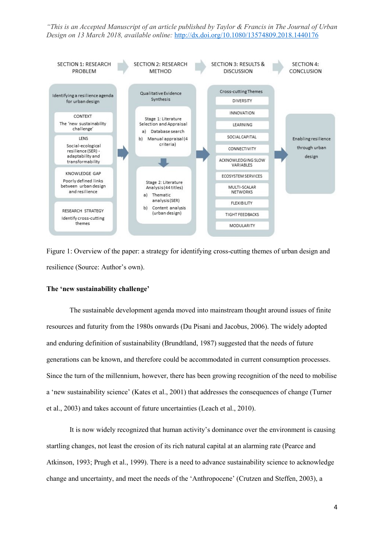

Figure 1: Overview of the paper: a strategy for identifying cross-cutting themes of urban design and resilience (Source: Author's own).

#### **The 'new sustainability challenge'**

The sustainable development agenda moved into mainstream thought around issues of finite resources and futurity from the 1980s onwards (Du Pisani and Jacobus, 2006). The widely adopted and enduring definition of sustainability (Brundtland, 1987) suggested that the needs of future generations can be known, and therefore could be accommodated in current consumption processes. Since the turn of the millennium, however, there has been growing recognition of the need to mobilise a 'new sustainability science' (Kates et al., 2001) that addresses the consequences of change (Turner et al., 2003) and takes account of future uncertainties (Leach et al., 2010).

It is now widely recognized that human activity's dominance over the environment is causing startling changes, not least the erosion of its rich natural capital at an alarming rate (Pearce and Atkinson, 1993; Prugh et al., 1999). There is a need to advance sustainability science to acknowledge change and uncertainty, and meet the needs of the 'Anthropocene' (Crutzen and Steffen, 2003), a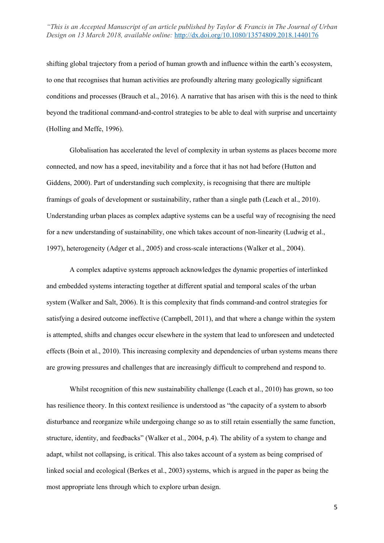shifting global trajectory from a period of human growth and influence within the earth's ecosystem, to one that recognises that human activities are profoundly altering many geologically significant conditions and processes (Brauch et al., 2016). A narrative that has arisen with this is the need to think beyond the traditional command-and-control strategies to be able to deal with surprise and uncertainty (Holling and Meffe, 1996).

Globalisation has accelerated the level of complexity in urban systems as places become more connected, and now has a speed, inevitability and a force that it has not had before (Hutton and Giddens, 2000). Part of understanding such complexity, is recognising that there are multiple framings of goals of development or sustainability, rather than a single path (Leach et al., 2010). Understanding urban places as complex adaptive systems can be a useful way of recognising the need for a new understanding of sustainability, one which takes account of non-linearity (Ludwig et al., 1997), heterogeneity (Adger et al., 2005) and cross-scale interactions (Walker et al., 2004).

A complex adaptive systems approach acknowledges the dynamic properties of interlinked and embedded systems interacting together at different spatial and temporal scales of the urban system (Walker and Salt, 2006). It is this complexity that finds command-and control strategies for satisfying a desired outcome ineffective (Campbell, 2011), and that where a change within the system is attempted, shifts and changes occur elsewhere in the system that lead to unforeseen and undetected effects (Boin et al., 2010). This increasing complexity and dependencies of urban systems means there are growing pressures and challenges that are increasingly difficult to comprehend and respond to.

Whilst recognition of this new sustainability challenge (Leach et al., 2010) has grown, so too has resilience theory. In this context resilience is understood as "the capacity of a system to absorb disturbance and reorganize while undergoing change so as to still retain essentially the same function, structure, identity, and feedbacks" (Walker et al., 2004, p.4). The ability of a system to change and adapt, whilst not collapsing, is critical. This also takes account of a system as being comprised of linked social and ecological (Berkes et al., 2003) systems, which is argued in the paper as being the most appropriate lens through which to explore urban design.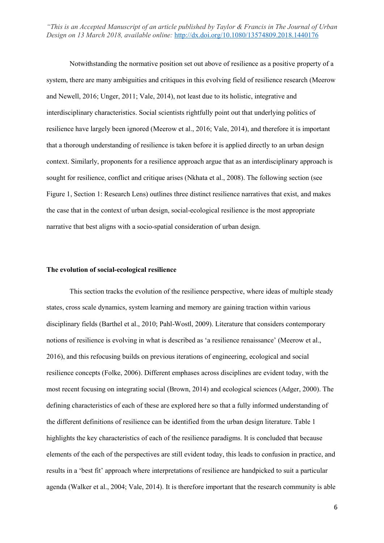Notwithstanding the normative position set out above of resilience as a positive property of a system, there are many ambiguities and critiques in this evolving field of resilience research (Meerow and Newell, 2016; Unger, 2011; Vale, 2014), not least due to its holistic, integrative and interdisciplinary characteristics. Social scientists rightfully point out that underlying politics of resilience have largely been ignored (Meerow et al., 2016; Vale, 2014), and therefore it is important that a thorough understanding of resilience is taken before it is applied directly to an urban design context. Similarly, proponents for a resilience approach argue that as an interdisciplinary approach is sought for resilience, conflict and critique arises (Nkhata et al., 2008). The following section (see Figure 1, Section 1: Research Lens) outlines three distinct resilience narratives that exist, and makes the case that in the context of urban design, social-ecological resilience is the most appropriate narrative that best aligns with a socio-spatial consideration of urban design.

#### **The evolution of social-ecological resilience**

This section tracks the evolution of the resilience perspective, where ideas of multiple steady states, cross scale dynamics, system learning and memory are gaining traction within various disciplinary fields (Barthel et al., 2010; Pahl-Wostl, 2009). Literature that considers contemporary notions of resilience is evolving in what is described as 'a resilience renaissance' (Meerow et al., 2016), and this refocusing builds on previous iterations of engineering, ecological and social resilience concepts (Folke, 2006). Different emphases across disciplines are evident today, with the most recent focusing on integrating social (Brown, 2014) and ecological sciences (Adger, 2000). The defining characteristics of each of these are explored here so that a fully informed understanding of the different definitions of resilience can be identified from the urban design literature. Table 1 highlights the key characteristics of each of the resilience paradigms. It is concluded that because elements of the each of the perspectives are still evident today, this leads to confusion in practice, and results in a 'best fit' approach where interpretations of resilience are handpicked to suit a particular agenda (Walker et al., 2004; Vale, 2014). It is therefore important that the research community is able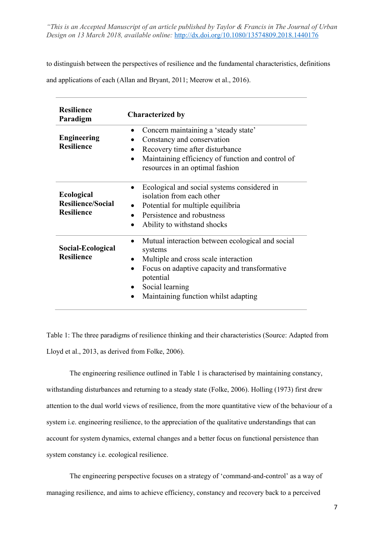to distinguish between the perspectives of resilience and the fundamental characteristics, definitions

and applications of each (Allan and Bryant, 2011; Meerow et al., 2016).

| <b>Resilience</b><br>Paradigm                                      | <b>Characterized by</b>                                                                                                                                                                                                                                |  |  |
|--------------------------------------------------------------------|--------------------------------------------------------------------------------------------------------------------------------------------------------------------------------------------------------------------------------------------------------|--|--|
| <b>Engineering</b><br><b>Resilience</b>                            | Concern maintaining a 'steady state'<br>$\bullet$<br>Constancy and conservation<br>Recovery time after disturbance<br>$\bullet$<br>Maintaining efficiency of function and control of<br>$\bullet$<br>resources in an optimal fashion                   |  |  |
| <b>Ecological</b><br><b>Resilience/Social</b><br><b>Resilience</b> | Ecological and social systems considered in<br>$\bullet$<br>isolation from each other<br>Potential for multiple equilibria<br>Persistence and robustness<br>Ability to withstand shocks<br>$\bullet$                                                   |  |  |
| Social-Ecological<br><b>Resilience</b>                             | Mutual interaction between ecological and social<br>$\bullet$<br>systems<br>Multiple and cross scale interaction<br>Focus on adaptive capacity and transformative<br>$\bullet$<br>potential<br>Social learning<br>Maintaining function whilst adapting |  |  |

Table 1: The three paradigms of resilience thinking and their characteristics (Source: Adapted from Lloyd et al., 2013, as derived from Folke, 2006).

The engineering resilience outlined in Table 1 is characterised by maintaining constancy, withstanding disturbances and returning to a steady state (Folke, 2006). Holling (1973) first drew attention to the dual world views of resilience, from the more quantitative view of the behaviour of a system i.e. engineering resilience, to the appreciation of the qualitative understandings that can account for system dynamics, external changes and a better focus on functional persistence than system constancy i.e. ecological resilience.

The engineering perspective focuses on a strategy of 'command-and-control' as a way of managing resilience, and aims to achieve efficiency, constancy and recovery back to a perceived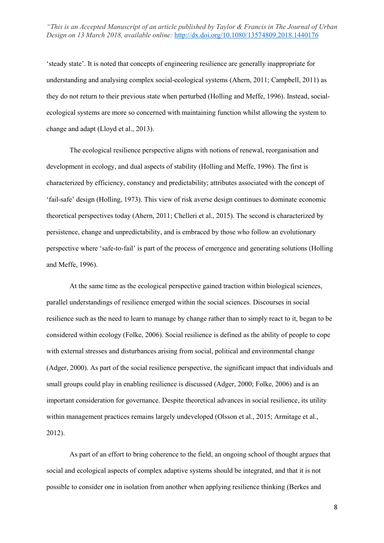'steady state'. It is noted that concepts of engineering resilience are generally inappropriate for understanding and analysing complex social-ecological systems (Ahern, 2011; Campbell, 2011) as they do not return to their previous state when perturbed (Holling and Meffe, 1996). Instead, socialecological systems are more so concerned with maintaining function whilst allowing the system to change and adapt (Lloyd et al., 2013).

The ecological resilience perspective aligns with notions of renewal, reorganisation and development in ecology, and dual aspects of stability (Holling and Meffe, 1996). The first is characterized by efficiency, constancy and predictability; attributes associated with the concept of 'fail-safe' design (Holling, 1973). This view of risk averse design continues to dominate economic theoretical perspectives today (Ahern, 2011; Chelleri et al., 2015). The second is characterized by persistence, change and unpredictability, and is embraced by those who follow an evolutionary perspective where 'safe-to-fail' is part of the process of emergence and generating solutions (Holling and Meffe, 1996).

At the same time as the ecological perspective gained traction within biological sciences, parallel understandings of resilience emerged within the social sciences. Discourses in social resilience such as the need to learn to manage by change rather than to simply react to it, began to be considered within ecology (Folke, 2006). Social resilience is defined as the ability of people to cope with external stresses and disturbances arising from social, political and environmental change (Adger, 2000). As part of the social resilience perspective, the significant impact that individuals and small groups could play in enabling resilience is discussed (Adger, 2000; Folke, 2006) and is an important consideration for governance. Despite theoretical advances in social resilience, its utility within management practices remains largely undeveloped (Olsson et al., 2015; Armitage et al., 2012).

As part of an effort to bring coherence to the field, an ongoing school of thought argues that social and ecological aspects of complex adaptive systems should be integrated, and that it is not possible to consider one in isolation from another when applying resilience thinking (Berkes and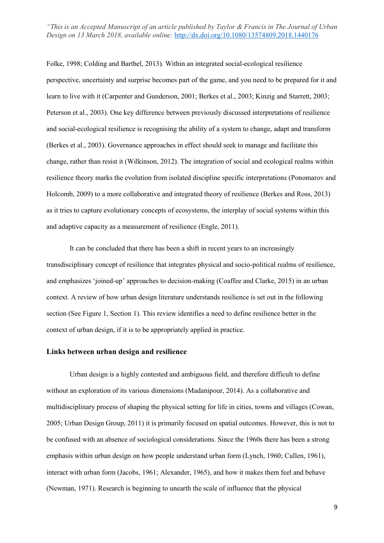Folke, 1998; Colding and Barthel, 2013). Within an integrated social-ecological resilience perspective, uncertainty and surprise becomes part of the game, and you need to be prepared for it and learn to live with it (Carpenter and Gunderson, 2001; Berkes et al., 2003; Kinzig and Starrett, 2003; Peterson et al., 2003). One key difference between previously discussed interpretations of resilience and social-ecological resilience is recognising the ability of a system to change, adapt and transform (Berkes et al., 2003). Governance approaches in effect should seek to manage and facilitate this change, rather than resist it (Wilkinson, 2012). The integration of social and ecological realms within resilience theory marks the evolution from isolated discipline specific interpretations (Ponomarov and Holcomb, 2009) to a more collaborative and integrated theory of resilience (Berkes and Ross, 2013) as it tries to capture evolutionary concepts of ecosystems, the interplay of social systems within this and adaptive capacity as a measurement of resilience (Engle, 2011).

It can be concluded that there has been a shift in recent years to an increasingly transdisciplinary concept of resilience that integrates physical and socio-political realms of resilience, and emphasizes 'joined-up' approaches to decision-making (Coaffee and Clarke, 2015) in an urban context. A review of how urban design literature understands resilience is set out in the following section (See Figure 1, Section 1). This review identifies a need to define resilience better in the context of urban design, if it is to be appropriately applied in practice.

# **Links between urban design and resilience**

Urban design is a highly contested and ambiguous field, and therefore difficult to define without an exploration of its various dimensions (Madanipour, 2014). As a collaborative and multidisciplinary process of shaping the physical setting for life in cities, towns and villages (Cowan, 2005; Urban Design Group, 2011) it is primarily focused on spatial outcomes. However, this is not to be confused with an absence of sociological considerations. Since the 1960s there has been a strong emphasis within urban design on how people understand urban form (Lynch, 1960; Cullen, 1961), interact with urban form (Jacobs, 1961; Alexander, 1965), and how it makes them feel and behave (Newman, 1971). Research is beginning to unearth the scale of influence that the physical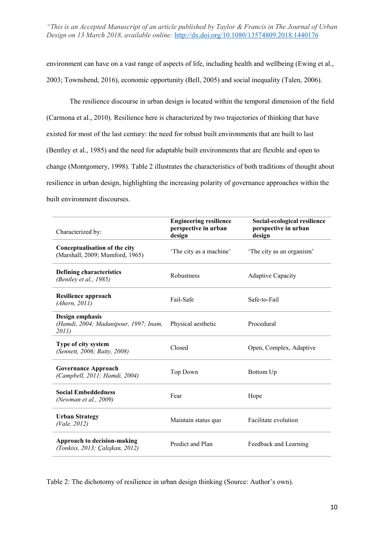environment can have on a vast range of aspects of life, including health and wellbeing (Ewing et al., 2003; Townshend, 2016), economic opportunity (Bell, 2005) and social inequality (Talen, 2006).

The resilience discourse in urban design is located within the temporal dimension of the field (Carmona et al., 2010). Resilience here is characterized by two trajectories of thinking that have existed for most of the last century: the need for robust built environments that are built to last (Bentley et al., 1985) and the need for adaptable built environments that are flexible and open to change (Montgomery, 1998). Table 2 illustrates the characteristics of both traditions of thought about resilience in urban design, highlighting the increasing polarity of governance approaches within the built environment discourses.

| Characterized by:                                                         | <b>Engineering resilience</b><br>perspective in urban<br>design | Social-ecological resilience<br>perspective in urban<br>design |
|---------------------------------------------------------------------------|-----------------------------------------------------------------|----------------------------------------------------------------|
| Conceptualisation of the city<br>(Marshall, 2009; Mumford, 1965)          | 'The city as a machine'                                         | The city as an organism'                                       |
| <b>Defining characteristics</b><br>(Bentley et al., 1985)                 | Robustness                                                      | <b>Adaptive Capacity</b>                                       |
| Resilience approach<br>(Ahern, 2011)                                      | Fail-Safe                                                       | Safe-to-Fail                                                   |
| Design emphasis<br>(Hamdi, 2004; Madanipour, 1997; Inam,<br><i>2011</i> ) | Physical aesthetic                                              | Procedural                                                     |
| Type of city system<br>(Sennett, 2006; Batty, 2008)                       | Closed                                                          | Open, Complex, Adaptive                                        |
| <b>Governance Approach</b><br>(Campbell, 2011; Hamdi, 2004)               | Top Down                                                        | Bottom Up                                                      |
| <b>Social Embeddedness</b><br>(Newman et al., 2009)                       | Fear                                                            | Hope                                                           |
| <b>Urban Strategy</b><br>(Value, 2012)                                    | Maintain status quo                                             | Facilitate evolution                                           |
| Approach to decision-making<br>(Tonkiss, 2013; Çalışkan, 2012)            | Predict and Plan                                                | Feedback and Learning                                          |

Table 2: The dichotomy of resilience in urban design thinking (Source: Author's own).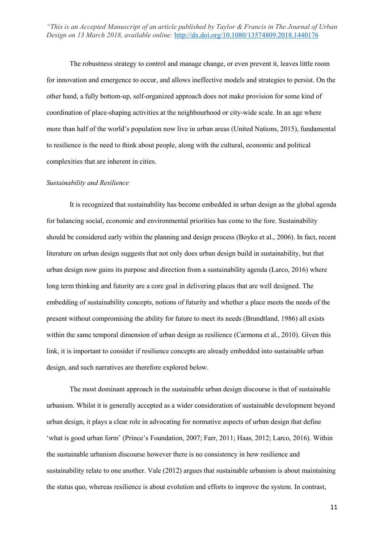The robustness strategy to control and manage change, or even prevent it, leaves little room for innovation and emergence to occur, and allows ineffective models and strategies to persist. On the other hand, a fully bottom-up, self-organized approach does not make provision for some kind of coordination of place-shaping activities at the neighbourhood or city-wide scale. In an age where more than half of the world's population now live in urban areas (United Nations, 2015), fundamental to resilience is the need to think about people, along with the cultural, economic and political complexities that are inherent in cities.

#### *Sustainability and Resilience*

It is recognized that sustainability has become embedded in urban design as the global agenda for balancing social, economic and environmental priorities has come to the fore. Sustainability should be considered early within the planning and design process (Boyko et al., 2006). In fact, recent literature on urban design suggests that not only does urban design build in sustainability, but that urban design now gains its purpose and direction from a sustainability agenda (Larco, 2016) where long term thinking and futurity are a core goal in delivering places that are well designed. The embedding of sustainability concepts, notions of futurity and whether a place meets the needs of the present without compromising the ability for future to meet its needs (Brundtland, 1986) all exists within the same temporal dimension of urban design as resilience (Carmona et al., 2010). Given this link, it is important to consider if resilience concepts are already embedded into sustainable urban design, and such narratives are therefore explored below.

The most dominant approach in the sustainable urban design discourse is that of sustainable urbanism. Whilst it is generally accepted as a wider consideration of sustainable development beyond urban design, it plays a clear role in advocating for normative aspects of urban design that define 'what is good urban form' (Prince's Foundation, 2007; Farr, 2011; Haas, 2012; Larco, 2016). Within the sustainable urbanism discourse however there is no consistency in how resilience and sustainability relate to one another. Vale (2012) argues that sustainable urbanism is about maintaining the status quo, whereas resilience is about evolution and efforts to improve the system. In contrast,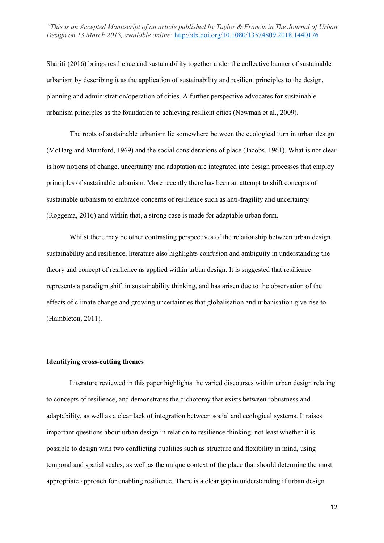Sharifi (2016) brings resilience and sustainability together under the collective banner of sustainable urbanism by describing it as the application of sustainability and resilient principles to the design, planning and administration/operation of cities. A further perspective advocates for sustainable urbanism principles as the foundation to achieving resilient cities (Newman et al., 2009).

The roots of sustainable urbanism lie somewhere between the ecological turn in urban design (McHarg and Mumford, 1969) and the social considerations of place (Jacobs, 1961). What is not clear is how notions of change, uncertainty and adaptation are integrated into design processes that employ principles of sustainable urbanism. More recently there has been an attempt to shift concepts of sustainable urbanism to embrace concerns of resilience such as anti-fragility and uncertainty (Roggema, 2016) and within that, a strong case is made for adaptable urban form.

Whilst there may be other contrasting perspectives of the relationship between urban design, sustainability and resilience, literature also highlights confusion and ambiguity in understanding the theory and concept of resilience as applied within urban design. It is suggested that resilience represents a paradigm shift in sustainability thinking, and has arisen due to the observation of the effects of climate change and growing uncertainties that globalisation and urbanisation give rise to (Hambleton, 2011).

# **Identifying cross-cutting themes**

Literature reviewed in this paper highlights the varied discourses within urban design relating to concepts of resilience, and demonstrates the dichotomy that exists between robustness and adaptability, as well as a clear lack of integration between social and ecological systems. It raises important questions about urban design in relation to resilience thinking, not least whether it is possible to design with two conflicting qualities such as structure and flexibility in mind, using temporal and spatial scales, as well as the unique context of the place that should determine the most appropriate approach for enabling resilience. There is a clear gap in understanding if urban design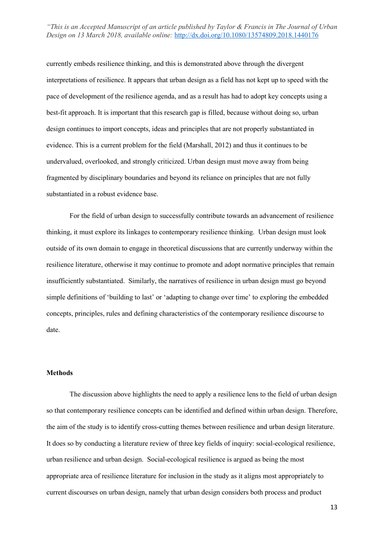currently embeds resilience thinking, and this is demonstrated above through the divergent interpretations of resilience. It appears that urban design as a field has not kept up to speed with the pace of development of the resilience agenda, and as a result has had to adopt key concepts using a best-fit approach. It is important that this research gap is filled, because without doing so, urban design continues to import concepts, ideas and principles that are not properly substantiated in evidence. This is a current problem for the field (Marshall, 2012) and thus it continues to be undervalued, overlooked, and strongly criticized. Urban design must move away from being fragmented by disciplinary boundaries and beyond its reliance on principles that are not fully substantiated in a robust evidence base.

For the field of urban design to successfully contribute towards an advancement of resilience thinking, it must explore its linkages to contemporary resilience thinking. Urban design must look outside of its own domain to engage in theoretical discussions that are currently underway within the resilience literature, otherwise it may continue to promote and adopt normative principles that remain insufficiently substantiated. Similarly, the narratives of resilience in urban design must go beyond simple definitions of 'building to last' or 'adapting to change over time' to exploring the embedded concepts, principles, rules and defining characteristics of the contemporary resilience discourse to date.

## **Methods**

The discussion above highlights the need to apply a resilience lens to the field of urban design so that contemporary resilience concepts can be identified and defined within urban design. Therefore, the aim of the study is to identify cross-cutting themes between resilience and urban design literature. It does so by conducting a literature review of three key fields of inquiry: social-ecological resilience, urban resilience and urban design. Social-ecological resilience is argued as being the most appropriate area of resilience literature for inclusion in the study as it aligns most appropriately to current discourses on urban design, namely that urban design considers both process and product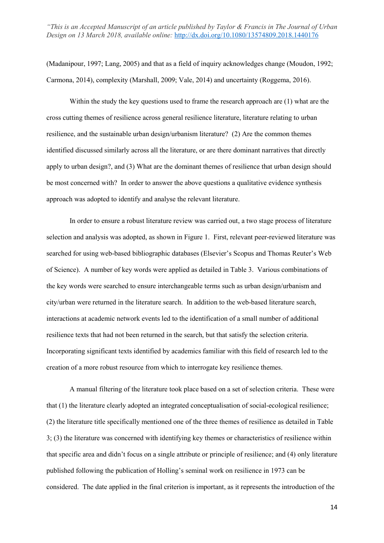(Madanipour, 1997; Lang, 2005) and that as a field of inquiry acknowledges change (Moudon, 1992; Carmona, 2014), complexity (Marshall, 2009; Vale, 2014) and uncertainty (Roggema, 2016).

Within the study the key questions used to frame the research approach are (1) what are the cross cutting themes of resilience across general resilience literature, literature relating to urban resilience, and the sustainable urban design/urbanism literature? (2) Are the common themes identified discussed similarly across all the literature, or are there dominant narratives that directly apply to urban design?, and (3) What are the dominant themes of resilience that urban design should be most concerned with? In order to answer the above questions a qualitative evidence synthesis approach was adopted to identify and analyse the relevant literature.

In order to ensure a robust literature review was carried out, a two stage process of literature selection and analysis was adopted, as shown in Figure 1. First, relevant peer-reviewed literature was searched for using web-based bibliographic databases (Elsevier's Scopus and Thomas Reuter's Web of Science). A number of key words were applied as detailed in Table 3. Various combinations of the key words were searched to ensure interchangeable terms such as urban design/urbanism and city/urban were returned in the literature search. In addition to the web-based literature search, interactions at academic network events led to the identification of a small number of additional resilience texts that had not been returned in the search, but that satisfy the selection criteria. Incorporating significant texts identified by academics familiar with this field of research led to the creation of a more robust resource from which to interrogate key resilience themes.

A manual filtering of the literature took place based on a set of selection criteria. These were that (1) the literature clearly adopted an integrated conceptualisation of social-ecological resilience; (2) the literature title specifically mentioned one of the three themes of resilience as detailed in Table 3; (3) the literature was concerned with identifying key themes or characteristics of resilience within that specific area and didn't focus on a single attribute or principle of resilience; and (4) only literature published following the publication of Holling's seminal work on resilience in 1973 can be considered. The date applied in the final criterion is important, as it represents the introduction of the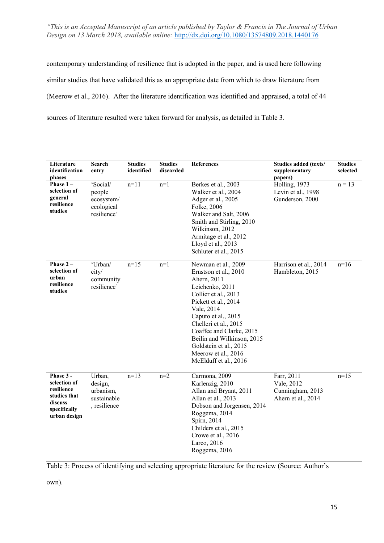contemporary understanding of resilience that is adopted in the paper, and is used here following similar studies that have validated this as an appropriate date from which to draw literature from (Meerow et al., 2016). After the literature identification was identified and appraised, a total of 44 sources of literature resulted were taken forward for analysis, as detailed in Table 3.

| Literature<br>identification<br>phases                                                             | Search<br>entry                                               | <b>Studies</b><br>identified | <b>Studies</b><br>discarded | References                                                                                                                                                                                                                                                                                                                       | Studies added (texts/<br>supplementary<br>papers)                  | <b>Studies</b><br>selected |
|----------------------------------------------------------------------------------------------------|---------------------------------------------------------------|------------------------------|-----------------------------|----------------------------------------------------------------------------------------------------------------------------------------------------------------------------------------------------------------------------------------------------------------------------------------------------------------------------------|--------------------------------------------------------------------|----------------------------|
| Phase $1 -$<br>selection of<br>general<br>resilience<br>studies                                    | 'Social/<br>people<br>ecosystem/<br>ecological<br>resilience' | $n=11$                       | $n=1$                       | Berkes et al., 2003<br>Walker et al., 2004<br>Adger et al., 2005<br>Folke, 2006<br>Walker and Salt, 2006<br>Smith and Stirling, 2010<br>Wilkinson, 2012<br>Armitage et al., 2012<br>Lloyd et al., 2013<br>Schluter et al., 2015                                                                                                  | Holling, 1973<br>Levin et al., 1998<br>Gunderson, 2000             | $n = 13$                   |
| Phase $2 -$<br>selection of<br>urban<br>resilience<br>studies                                      | 'Urban/<br>city/<br>community<br>resilience'                  | $n=15$                       | $n=1$                       | Newman et al., 2009<br>Ernstson et al., 2010<br>Ahern, 2011<br>Leichenko, 2011<br>Collier et al., 2013<br>Pickett et al., 2014<br>Vale, 2014<br>Caputo et al., 2015<br>Chelleri et al., 2015<br>Coaffee and Clarke, 2015<br>Beilin and Wilkinson, 2015<br>Goldstein et al., 2015<br>Meerow et al., 2016<br>McElduff et al., 2016 | Harrison et al., 2014<br>Hambleton, 2015                           | $n=16$                     |
| Phase 3 -<br>selection of<br>resilience<br>studies that<br>discuss<br>specifically<br>urban design | Urban,<br>design,<br>urbanism,<br>sustainable<br>, resilience | $n=13$                       | $n=2$                       | Carmona, 2009<br>Karlenzig, 2010<br>Allan and Bryant, 2011<br>Allan et al., 2013<br>Dobson and Jorgensen, 2014<br>Roggema, 2014<br>Spirn, 2014<br>Childers et al., 2015<br>Crowe et al., 2016<br>Larco, 2016<br>Roggema, 2016                                                                                                    | Farr, 2011<br>Vale, 2012<br>Cunningham, 2013<br>Ahern et al., 2014 | $n=15$                     |

Table 3: Process of identifying and selecting appropriate literature for the review (Source: Author's

own).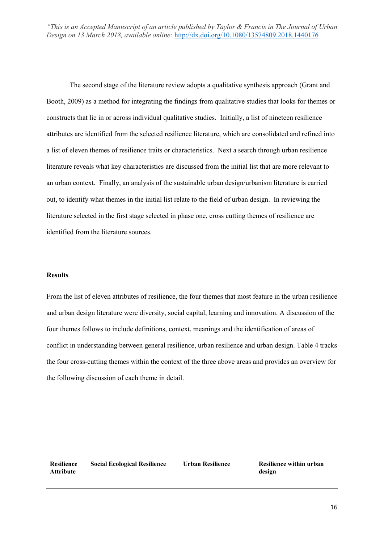The second stage of the literature review adopts a qualitative synthesis approach (Grant and Booth, 2009) as a method for integrating the findings from qualitative studies that looks for themes or constructs that lie in or across individual qualitative studies. Initially, a list of nineteen resilience attributes are identified from the selected resilience literature, which are consolidated and refined into a list of eleven themes of resilience traits or characteristics. Next a search through urban resilience literature reveals what key characteristics are discussed from the initial list that are more relevant to an urban context. Finally, an analysis of the sustainable urban design/urbanism literature is carried out, to identify what themes in the initial list relate to the field of urban design. In reviewing the literature selected in the first stage selected in phase one, cross cutting themes of resilience are identified from the literature sources.

## **Results**

From the list of eleven attributes of resilience, the four themes that most feature in the urban resilience and urban design literature were diversity, social capital, learning and innovation. A discussion of the four themes follows to include definitions, context, meanings and the identification of areas of conflict in understanding between general resilience, urban resilience and urban design. Table 4 tracks the four cross-cutting themes within the context of the three above areas and provides an overview for the following discussion of each theme in detail.

| <b>Resilience</b> | <b>Social Ecological Resilience</b> | Urban Resilience | Resilience within urban |
|-------------------|-------------------------------------|------------------|-------------------------|
| <b>Attribute</b>  |                                     |                  | design                  |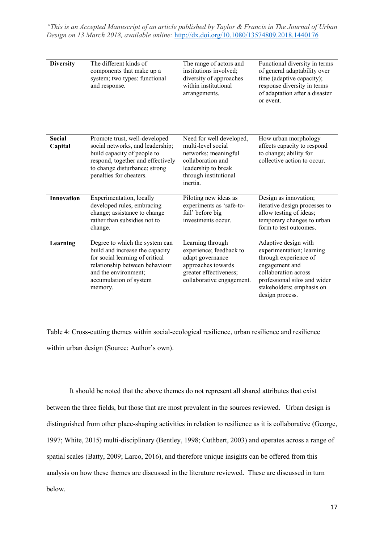| <b>Diversity</b>         | The different kinds of<br>components that make up a<br>system; two types: functional<br>and response.                                                                                               | The range of actors and<br>institutions involved;<br>diversity of approaches<br>within institutional<br>arrangements.                                   | Functional diversity in terms<br>of general adaptability over<br>time (adaptive capacity);<br>response diversity in terms<br>of adaptation after a disaster<br>or event.                             |
|--------------------------|-----------------------------------------------------------------------------------------------------------------------------------------------------------------------------------------------------|---------------------------------------------------------------------------------------------------------------------------------------------------------|------------------------------------------------------------------------------------------------------------------------------------------------------------------------------------------------------|
| <b>Social</b><br>Capital | Promote trust, well-developed<br>social networks, and leadership;<br>build capacity of people to<br>respond, together and effectively<br>to change disturbance; strong<br>penalties for cheaters.   | Need for well developed,<br>multi-level social<br>networks; meaningful<br>collaboration and<br>leadership to break<br>through institutional<br>inertia. | How urban morphology<br>affects capacity to respond<br>to change; ability for<br>collective action to occur.                                                                                         |
| <b>Innovation</b>        | Experimentation, locally<br>developed rules, embracing<br>change; assistance to change<br>rather than subsidies not to<br>change.                                                                   | Piloting new ideas as<br>experiments as 'safe-to-<br>fail' before big<br>investments occur.                                                             | Design as innovation;<br>iterative design processes to<br>allow testing of ideas;<br>temporary changes to urban<br>form to test outcomes.                                                            |
| Learning                 | Degree to which the system can<br>build and increase the capacity<br>for social learning of critical<br>relationship between behaviour<br>and the environment;<br>accumulation of system<br>memory. | Learning through<br>experience; feedback to<br>adapt governance<br>approaches towards<br>greater effectiveness;<br>collaborative engagement.            | Adaptive design with<br>experimentation; learning<br>through experience of<br>engagement and<br>collaboration across<br>professional silos and wider<br>stakeholders; emphasis on<br>design process. |

Table 4: Cross-cutting themes within social-ecological resilience, urban resilience and resilience within urban design (Source: Author's own).

It should be noted that the above themes do not represent all shared attributes that exist between the three fields, but those that are most prevalent in the sources reviewed. Urban design is distinguished from other place-shaping activities in relation to resilience as it is collaborative (George, 1997; White, 2015) multi-disciplinary (Bentley, 1998; Cuthbert, 2003) and operates across a range of spatial scales (Batty, 2009; Larco, 2016), and therefore unique insights can be offered from this analysis on how these themes are discussed in the literature reviewed. These are discussed in turn below.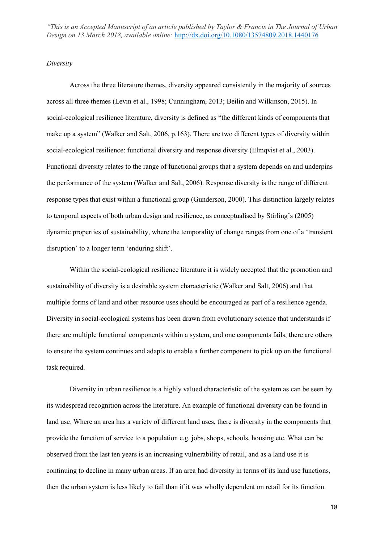#### *Diversity*

Across the three literature themes, diversity appeared consistently in the majority of sources across all three themes (Levin et al., 1998; Cunningham, 2013; Beilin and Wilkinson, 2015). In social-ecological resilience literature, diversity is defined as "the different kinds of components that make up a system" (Walker and Salt, 2006, p.163). There are two different types of diversity within social-ecological resilience: functional diversity and response diversity (Elmqvist et al., 2003). Functional diversity relates to the range of functional groups that a system depends on and underpins the performance of the system (Walker and Salt, 2006). Response diversity is the range of different response types that exist within a functional group (Gunderson, 2000). This distinction largely relates to temporal aspects of both urban design and resilience, as conceptualised by Stirling's (2005) dynamic properties of sustainability, where the temporality of change ranges from one of a 'transient disruption' to a longer term 'enduring shift'.

Within the social-ecological resilience literature it is widely accepted that the promotion and sustainability of diversity is a desirable system characteristic (Walker and Salt, 2006) and that multiple forms of land and other resource uses should be encouraged as part of a resilience agenda. Diversity in social-ecological systems has been drawn from evolutionary science that understands if there are multiple functional components within a system, and one components fails, there are others to ensure the system continues and adapts to enable a further component to pick up on the functional task required.

Diversity in urban resilience is a highly valued characteristic of the system as can be seen by its widespread recognition across the literature. An example of functional diversity can be found in land use. Where an area has a variety of different land uses, there is diversity in the components that provide the function of service to a population e.g. jobs, shops, schools, housing etc. What can be observed from the last ten years is an increasing vulnerability of retail, and as a land use it is continuing to decline in many urban areas. If an area had diversity in terms of its land use functions, then the urban system is less likely to fail than if it was wholly dependent on retail for its function.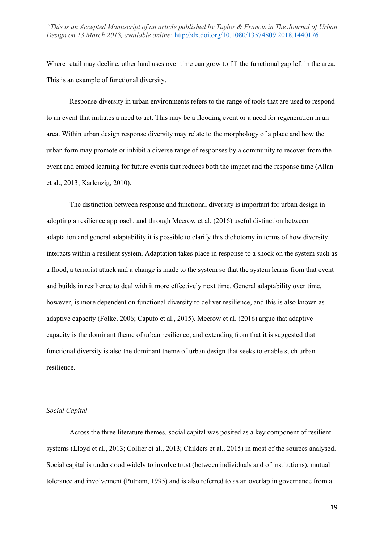Where retail may decline, other land uses over time can grow to fill the functional gap left in the area. This is an example of functional diversity.

Response diversity in urban environments refers to the range of tools that are used to respond to an event that initiates a need to act. This may be a flooding event or a need for regeneration in an area. Within urban design response diversity may relate to the morphology of a place and how the urban form may promote or inhibit a diverse range of responses by a community to recover from the event and embed learning for future events that reduces both the impact and the response time (Allan et al., 2013; Karlenzig, 2010).

The distinction between response and functional diversity is important for urban design in adopting a resilience approach, and through Meerow et al. (2016) useful distinction between adaptation and general adaptability it is possible to clarify this dichotomy in terms of how diversity interacts within a resilient system. Adaptation takes place in response to a shock on the system such as a flood, a terrorist attack and a change is made to the system so that the system learns from that event and builds in resilience to deal with it more effectively next time. General adaptability over time, however, is more dependent on functional diversity to deliver resilience, and this is also known as adaptive capacity (Folke, 2006; Caputo et al., 2015). Meerow et al. (2016) argue that adaptive capacity is the dominant theme of urban resilience, and extending from that it is suggested that functional diversity is also the dominant theme of urban design that seeks to enable such urban resilience.

## *Social Capital*

Across the three literature themes, social capital was posited as a key component of resilient systems (Lloyd et al., 2013; Collier et al., 2013; Childers et al., 2015) in most of the sources analysed. Social capital is understood widely to involve trust (between individuals and of institutions), mutual tolerance and involvement (Putnam, 1995) and is also referred to as an overlap in governance from a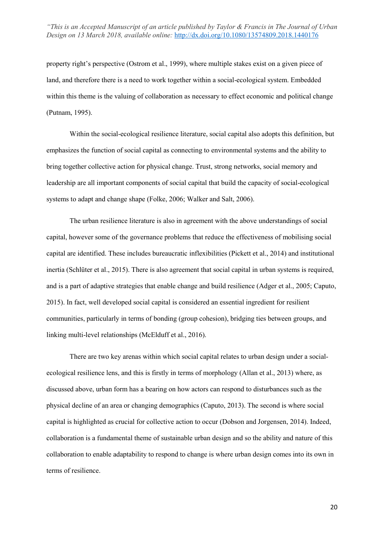property right's perspective (Ostrom et al., 1999), where multiple stakes exist on a given piece of land, and therefore there is a need to work together within a social-ecological system. Embedded within this theme is the valuing of collaboration as necessary to effect economic and political change (Putnam, 1995).

Within the social-ecological resilience literature, social capital also adopts this definition, but emphasizes the function of social capital as connecting to environmental systems and the ability to bring together collective action for physical change. Trust, strong networks, social memory and leadership are all important components of social capital that build the capacity of social-ecological systems to adapt and change shape (Folke, 2006; Walker and Salt, 2006).

The urban resilience literature is also in agreement with the above understandings of social capital, however some of the governance problems that reduce the effectiveness of mobilising social capital are identified. These includes bureaucratic inflexibilities (Pickett et al., 2014) and institutional inertia (Schlüter et al., 2015). There is also agreement that social capital in urban systems is required, and is a part of adaptive strategies that enable change and build resilience (Adger et al., 2005; Caputo, 2015). In fact, well developed social capital is considered an essential ingredient for resilient communities, particularly in terms of bonding (group cohesion), bridging ties between groups, and linking multi-level relationships (McElduff et al., 2016).

There are two key arenas within which social capital relates to urban design under a socialecological resilience lens, and this is firstly in terms of morphology (Allan et al., 2013) where, as discussed above, urban form has a bearing on how actors can respond to disturbances such as the physical decline of an area or changing demographics (Caputo, 2013). The second is where social capital is highlighted as crucial for collective action to occur (Dobson and Jorgensen, 2014). Indeed, collaboration is a fundamental theme of sustainable urban design and so the ability and nature of this collaboration to enable adaptability to respond to change is where urban design comes into its own in terms of resilience.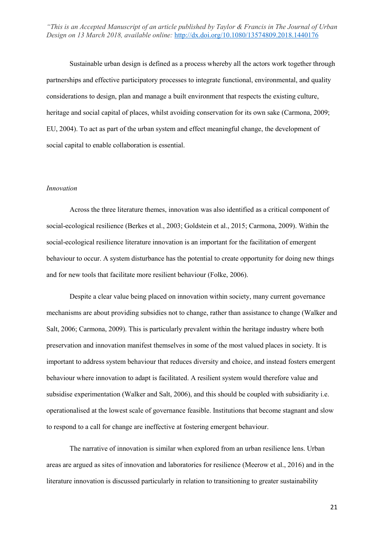Sustainable urban design is defined as a process whereby all the actors work together through partnerships and effective participatory processes to integrate functional, environmental, and quality considerations to design, plan and manage a built environment that respects the existing culture, heritage and social capital of places, whilst avoiding conservation for its own sake (Carmona, 2009; EU, 2004). To act as part of the urban system and effect meaningful change, the development of social capital to enable collaboration is essential.

## *Innovation*

Across the three literature themes, innovation was also identified as a critical component of social-ecological resilience (Berkes et al., 2003; Goldstein et al., 2015; Carmona, 2009). Within the social-ecological resilience literature innovation is an important for the facilitation of emergent behaviour to occur. A system disturbance has the potential to create opportunity for doing new things and for new tools that facilitate more resilient behaviour (Folke, 2006).

Despite a clear value being placed on innovation within society, many current governance mechanisms are about providing subsidies not to change, rather than assistance to change (Walker and Salt, 2006; Carmona, 2009). This is particularly prevalent within the heritage industry where both preservation and innovation manifest themselves in some of the most valued places in society. It is important to address system behaviour that reduces diversity and choice, and instead fosters emergent behaviour where innovation to adapt is facilitated. A resilient system would therefore value and subsidise experimentation (Walker and Salt, 2006), and this should be coupled with subsidiarity i.e. operationalised at the lowest scale of governance feasible. Institutions that become stagnant and slow to respond to a call for change are ineffective at fostering emergent behaviour.

The narrative of innovation is similar when explored from an urban resilience lens. Urban areas are argued as sites of innovation and laboratories for resilience (Meerow et al., 2016) and in the literature innovation is discussed particularly in relation to transitioning to greater sustainability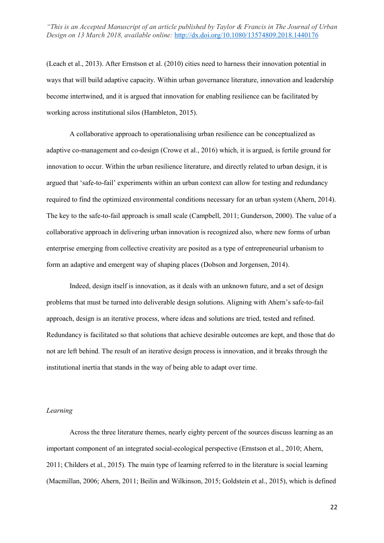(Leach et al., 2013). After Ernstson et al. (2010) cities need to harness their innovation potential in ways that will build adaptive capacity. Within urban governance literature, innovation and leadership become intertwined, and it is argued that innovation for enabling resilience can be facilitated by working across institutional silos (Hambleton, 2015).

A collaborative approach to operationalising urban resilience can be conceptualized as adaptive co-management and co-design (Crowe et al., 2016) which, it is argued, is fertile ground for innovation to occur. Within the urban resilience literature, and directly related to urban design, it is argued that 'safe-to-fail' experiments within an urban context can allow for testing and redundancy required to find the optimized environmental conditions necessary for an urban system (Ahern, 2014). The key to the safe-to-fail approach is small scale (Campbell, 2011; Gunderson, 2000). The value of a collaborative approach in delivering urban innovation is recognized also, where new forms of urban enterprise emerging from collective creativity are posited as a type of entrepreneurial urbanism to form an adaptive and emergent way of shaping places (Dobson and Jorgensen, 2014).

Indeed, design itself is innovation, as it deals with an unknown future, and a set of design problems that must be turned into deliverable design solutions. Aligning with Ahern's safe-to-fail approach, design is an iterative process, where ideas and solutions are tried, tested and refined. Redundancy is facilitated so that solutions that achieve desirable outcomes are kept, and those that do not are left behind. The result of an iterative design process is innovation, and it breaks through the institutional inertia that stands in the way of being able to adapt over time.

#### *Learning*

Across the three literature themes, nearly eighty percent of the sources discuss learning as an important component of an integrated social-ecological perspective (Ernstson et al., 2010; Ahern, 2011; Childers et al., 2015). The main type of learning referred to in the literature is social learning (Macmillan, 2006; Ahern, 2011; Beilin and Wilkinson, 2015; Goldstein et al., 2015), which is defined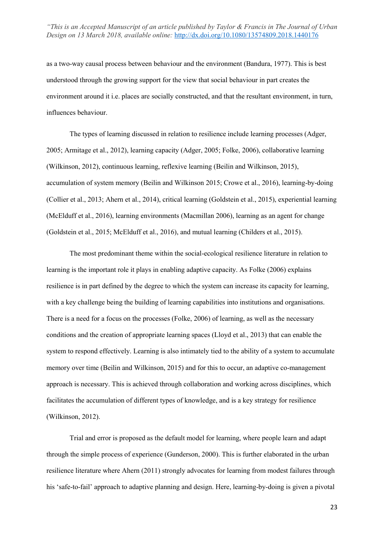as a two-way causal process between behaviour and the environment (Bandura, 1977). This is best understood through the growing support for the view that social behaviour in part creates the environment around it i.e. places are socially constructed, and that the resultant environment, in turn, influences behaviour.

The types of learning discussed in relation to resilience include learning processes (Adger, 2005; Armitage et al., 2012), learning capacity (Adger, 2005; Folke, 2006), collaborative learning (Wilkinson, 2012), continuous learning, reflexive learning (Beilin and Wilkinson, 2015), accumulation of system memory (Beilin and Wilkinson 2015; Crowe et al., 2016), learning-by-doing (Collier et al., 2013; Ahern et al., 2014), critical learning (Goldstein et al., 2015), experiential learning (McElduff et al., 2016), learning environments (Macmillan 2006), learning as an agent for change (Goldstein et al., 2015; McElduff et al., 2016), and mutual learning (Childers et al., 2015).

The most predominant theme within the social-ecological resilience literature in relation to learning is the important role it plays in enabling adaptive capacity. As Folke (2006) explains resilience is in part defined by the degree to which the system can increase its capacity for learning, with a key challenge being the building of learning capabilities into institutions and organisations. There is a need for a focus on the processes (Folke, 2006) of learning, as well as the necessary conditions and the creation of appropriate learning spaces (Lloyd et al., 2013) that can enable the system to respond effectively. Learning is also intimately tied to the ability of a system to accumulate memory over time (Beilin and Wilkinson, 2015) and for this to occur, an adaptive co-management approach is necessary. This is achieved through collaboration and working across disciplines, which facilitates the accumulation of different types of knowledge, and is a key strategy for resilience (Wilkinson, 2012).

Trial and error is proposed as the default model for learning, where people learn and adapt through the simple process of experience (Gunderson, 2000). This is further elaborated in the urban resilience literature where Ahern (2011) strongly advocates for learning from modest failures through his 'safe-to-fail' approach to adaptive planning and design. Here, learning-by-doing is given a pivotal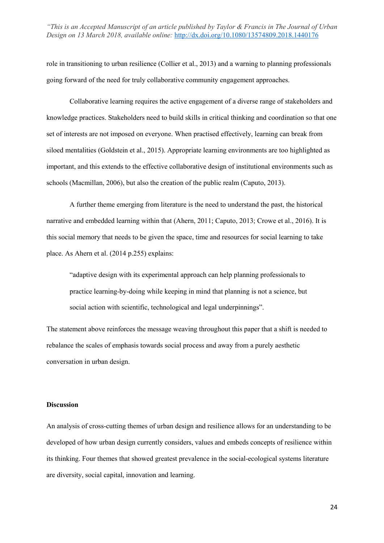role in transitioning to urban resilience (Collier et al., 2013) and a warning to planning professionals going forward of the need for truly collaborative community engagement approaches.

Collaborative learning requires the active engagement of a diverse range of stakeholders and knowledge practices. Stakeholders need to build skills in critical thinking and coordination so that one set of interests are not imposed on everyone. When practised effectively, learning can break from siloed mentalities (Goldstein et al., 2015). Appropriate learning environments are too highlighted as important, and this extends to the effective collaborative design of institutional environments such as schools (Macmillan, 2006), but also the creation of the public realm (Caputo, 2013).

A further theme emerging from literature is the need to understand the past, the historical narrative and embedded learning within that (Ahern, 2011; Caputo, 2013; Crowe et al., 2016). It is this social memory that needs to be given the space, time and resources for social learning to take place. As Ahern et al. (2014 p.255) explains:

"adaptive design with its experimental approach can help planning professionals to practice learning-by-doing while keeping in mind that planning is not a science, but social action with scientific, technological and legal underpinnings".

The statement above reinforces the message weaving throughout this paper that a shift is needed to rebalance the scales of emphasis towards social process and away from a purely aesthetic conversation in urban design.

## **Discussion**

An analysis of cross-cutting themes of urban design and resilience allows for an understanding to be developed of how urban design currently considers, values and embeds concepts of resilience within its thinking. Four themes that showed greatest prevalence in the social-ecological systems literature are diversity, social capital, innovation and learning.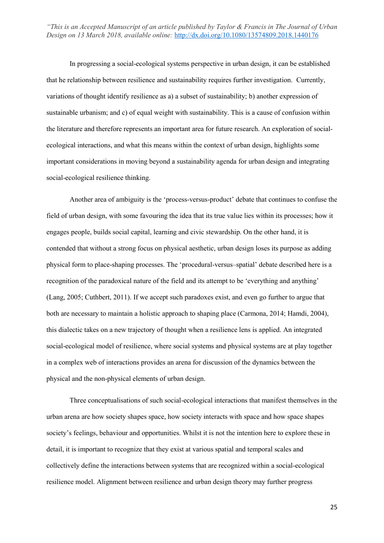In progressing a social-ecological systems perspective in urban design, it can be established that he relationship between resilience and sustainability requires further investigation. Currently, variations of thought identify resilience as a) a subset of sustainability; b) another expression of sustainable urbanism; and c) of equal weight with sustainability. This is a cause of confusion within the literature and therefore represents an important area for future research. An exploration of socialecological interactions, and what this means within the context of urban design, highlights some important considerations in moving beyond a sustainability agenda for urban design and integrating social-ecological resilience thinking.

Another area of ambiguity is the 'process-versus-product' debate that continues to confuse the field of urban design, with some favouring the idea that its true value lies within its processes; how it engages people, builds social capital, learning and civic stewardship. On the other hand, it is contended that without a strong focus on physical aesthetic, urban design loses its purpose as adding physical form to place-shaping processes. The 'procedural-versus–spatial' debate described here is a recognition of the paradoxical nature of the field and its attempt to be 'everything and anything' (Lang, 2005; Cuthbert, 2011). If we accept such paradoxes exist, and even go further to argue that both are necessary to maintain a holistic approach to shaping place (Carmona, 2014; Hamdi, 2004), this dialectic takes on a new trajectory of thought when a resilience lens is applied. An integrated social-ecological model of resilience, where social systems and physical systems are at play together in a complex web of interactions provides an arena for discussion of the dynamics between the physical and the non-physical elements of urban design.

Three conceptualisations of such social-ecological interactions that manifest themselves in the urban arena are how society shapes space, how society interacts with space and how space shapes society's feelings, behaviour and opportunities. Whilst it is not the intention here to explore these in detail, it is important to recognize that they exist at various spatial and temporal scales and collectively define the interactions between systems that are recognized within a social-ecological resilience model. Alignment between resilience and urban design theory may further progress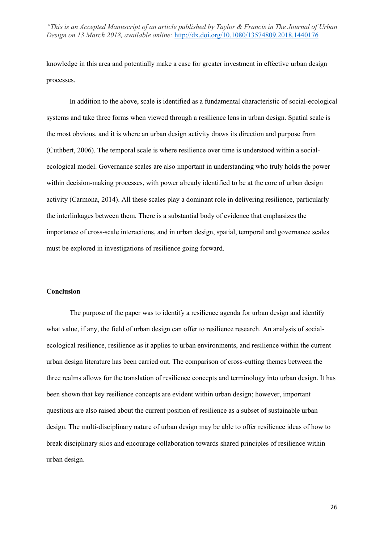knowledge in this area and potentially make a case for greater investment in effective urban design processes.

In addition to the above, scale is identified as a fundamental characteristic of social-ecological systems and take three forms when viewed through a resilience lens in urban design. Spatial scale is the most obvious, and it is where an urban design activity draws its direction and purpose from (Cuthbert, 2006). The temporal scale is where resilience over time is understood within a socialecological model. Governance scales are also important in understanding who truly holds the power within decision-making processes, with power already identified to be at the core of urban design activity (Carmona, 2014). All these scales play a dominant role in delivering resilience, particularly the interlinkages between them. There is a substantial body of evidence that emphasizes the importance of cross-scale interactions, and in urban design, spatial, temporal and governance scales must be explored in investigations of resilience going forward.

#### **Conclusion**

The purpose of the paper was to identify a resilience agenda for urban design and identify what value, if any, the field of urban design can offer to resilience research. An analysis of socialecological resilience, resilience as it applies to urban environments, and resilience within the current urban design literature has been carried out. The comparison of cross-cutting themes between the three realms allows for the translation of resilience concepts and terminology into urban design. It has been shown that key resilience concepts are evident within urban design; however, important questions are also raised about the current position of resilience as a subset of sustainable urban design. The multi-disciplinary nature of urban design may be able to offer resilience ideas of how to break disciplinary silos and encourage collaboration towards shared principles of resilience within urban design.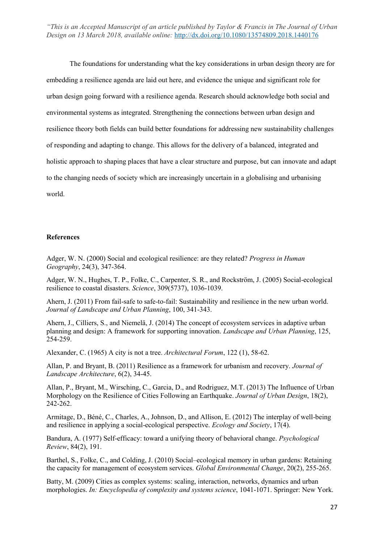The foundations for understanding what the key considerations in urban design theory are for embedding a resilience agenda are laid out here, and evidence the unique and significant role for urban design going forward with a resilience agenda. Research should acknowledge both social and environmental systems as integrated. Strengthening the connections between urban design and resilience theory both fields can build better foundations for addressing new sustainability challenges of responding and adapting to change. This allows for the delivery of a balanced, integrated and holistic approach to shaping places that have a clear structure and purpose, but can innovate and adapt to the changing needs of society which are increasingly uncertain in a globalising and urbanising world.

#### **References**

Adger, W. N. (2000) Social and ecological resilience: are they related? *Progress in Human Geography*, 24(3), 347-364.

Adger, W. N., Hughes, T. P., Folke, C., Carpenter, S. R., and Rockström, J. (2005) Social-ecological resilience to coastal disasters. *Science*, 309(5737), 1036-1039.

Ahern, J. (2011) From fail-safe to safe-to-fail: Sustainability and resilience in the new urban world. *Journal of Landscape and Urban Planning*, 100, 341-343.

Ahern, J., Cilliers, S., and Niemelä, J. (2014) The concept of ecosystem services in adaptive urban planning and design: A framework for supporting innovation. *Landscape and Urban Planning*, 125, 254-259.

Alexander, C. (1965) A city is not a tree. *Architectural Forum*, 122 (1), 58-62.

Allan, P. and Bryant, B. (2011) Resilience as a framework for urbanism and recovery. *Journal of Landscape Architecture*, 6(2), 34-45.

Allan, P., Bryant, M., Wirsching, C., Garcia, D., and Rodriguez, M.T. (2013) The Influence of Urban Morphology on the Resilience of Cities Following an Earthquake. *Journal of Urban Design*, 18(2), 242-262.

Armitage, D., Béné, C., Charles, A., Johnson, D., and Allison, E. (2012) The interplay of well-being and resilience in applying a social-ecological perspective. *Ecology and Society*, 17(4).

Bandura, A. (1977) Self-efficacy: toward a unifying theory of behavioral change. *Psychological Review*, 84(2), 191.

Barthel, S., Folke, C., and Colding, J. (2010) Social–ecological memory in urban gardens: Retaining the capacity for management of ecosystem services. *Global Environmental Change*, 20(2), 255-265.

Batty, M. (2009) Cities as complex systems: scaling, interaction, networks, dynamics and urban morphologies. *In: Encyclopedia of complexity and systems science*, 1041-1071. Springer: New York.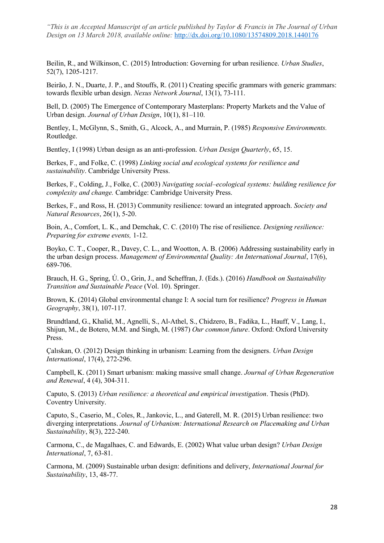Beilin, R., and Wilkinson, C. (2015) Introduction: Governing for urban resilience. *Urban Studies*, 52(7), 1205-1217.

Beirão, J. N., Duarte, J. P., and Stouffs, R. (2011) Creating specific grammars with generic grammars: towards flexible urban design. *Nexus Network Journal*, 13(1), 73-111.

Bell, D. (2005) The Emergence of Contemporary Masterplans: Property Markets and the Value of Urban design. *Journal of Urban Design*, 10(1), 81–110.

Bentley, I., McGlynn, S., Smith, G., Alcock, A., and Murrain, P. (1985) *Responsive Environments.*  Routledge.

Bentley, I (1998) Urban design as an anti-profession. *Urban Design Quarterly*, 65, 15.

Berkes, F., and Folke, C. (1998) *Linking social and ecological systems for resilience and sustainability*. Cambridge University Press.

Berkes, F., Colding, J., Folke, C. (2003) *Navigating social–ecological systems: building resilience for complexity and change.* Cambridge: Cambridge University Press.

Berkes, F., and Ross, H. (2013) Community resilience: toward an integrated approach. *Society and Natural Resources*, 26(1), 5-20.

Boin, A., Comfort, L. K., and Demchak, C. C. (2010) The rise of resilience. *Designing resilience: Preparing for extreme events,* 1-12.

Boyko, C. T., Cooper, R., Davey, C. L., and Wootton, A. B. (2006) Addressing sustainability early in the urban design process. *Management of Environmental Quality: An International Journal*, 17(6), 689-706.

Brauch, H. G., Spring, Ú. O., Grin, J., and Scheffran, J. (Eds.). (2016) *Handbook on Sustainability Transition and Sustainable Peace* (Vol. 10). Springer.

Brown, K. (2014) Global environmental change I: A social turn for resilience? *Progress in Human Geography*, 38(1), 107-117.

Brundtland, G., Khalid, M., Agnelli, S., Al-Athel, S., Chidzero, B., Fadika, L., Hauff, V., Lang, I., Shijun, M., de Botero, M.M. and Singh, M. (1987) *Our common future*. Oxford: Oxford University Press.

Çalıskan, O. (2012) Design thinking in urbanism: Learning from the designers. *Urban Design International*, 17(4), 272-296.

Campbell, K. (2011) Smart urbanism: making massive small change. *Journal of Urban Regeneration and Renewal*, 4 (4), 304-311.

Caputo, S. (2013) *Urban resilience: a theoretical and empirical investigation*. Thesis (PhD). Coventry University.

Caputo, S., Caserio, M., Coles, R., Jankovic, L., and Gaterell, M. R. (2015) Urban resilience: two diverging interpretations. *Journal of Urbanism: International Research on Placemaking and Urban Sustainability*, 8(3), 222-240.

Carmona, C., de Magalhaes, C. and Edwards, E. (2002) What value urban design? *Urban Design International*, 7, 63-81.

Carmona, M. (2009) Sustainable urban design: definitions and delivery, *International Journal for Sustainability*, 13, 48-77.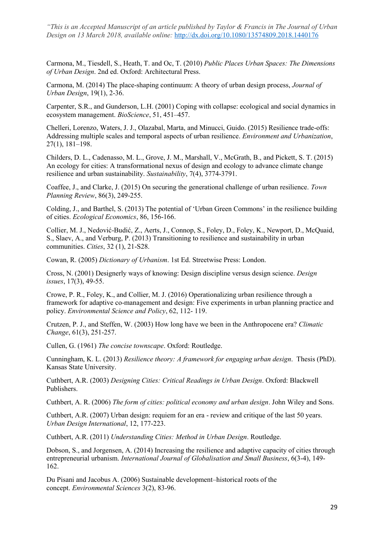Carmona, M., Tiesdell, S., Heath, T. and Oc, T. (2010) *Public Places Urban Spaces: The Dimensions of Urban Design*. 2nd ed. Oxford: Architectural Press.

Carmona, M. (2014) The place-shaping continuum: A theory of urban design process, *Journal of Urban Design*, 19(1), 2-36.

Carpenter, S.R., and Gunderson, L.H. (2001) Coping with collapse: ecological and social dynamics in ecosystem management. *BioScience*, 51, 451–457.

Chelleri, Lorenzo, Waters, J. J., Olazabal, Marta, and Minucci, Guido. (2015) Resilience trade-offs: Addressing multiple scales and temporal aspects of urban resilience. *Environment and Urbanization*, 27(1), 181–198.

Childers, D. L., Cadenasso, M. L., Grove, J. M., Marshall, V., McGrath, B., and Pickett, S. T. (2015) An ecology for cities: A transformational nexus of design and ecology to advance climate change resilience and urban sustainability. *Sustainability*, 7(4), 3774-3791.

Coaffee, J., and Clarke, J. (2015) On securing the generational challenge of urban resilience. *Town Planning Review*, 86(3), 249-255.

Colding, J., and Barthel, S. (2013) The potential of 'Urban Green Commons' in the resilience building of cities. *Ecological Economics*, 86, 156-166.

Collier, M. J., Nedović-Budić, Z., Aerts, J., Connop, S., Foley, D., Foley, K., Newport, D., McQuaid, S., Slaev, A., and Verburg, P. (2013) Transitioning to resilience and sustainability in urban communities. *Cities*, 32 (1), 21-S28.

Cowan, R. (2005) *Dictionary of Urbanism*. 1st Ed. Streetwise Press: London.

Cross, N. (2001) Designerly ways of knowing: Design discipline versus design science. *Design issues*, 17(3), 49-55.

Crowe, P. R., Foley, K., and Collier, M. J. (2016) Operationalizing urban resilience through a framework for adaptive co-management and design: Five experiments in urban planning practice and policy. *Environmental Science and Policy*, 62, 112- 119.

Crutzen, P. J., and Steffen, W. (2003) How long have we been in the Anthropocene era? *Climatic Change*, 61(3), 251-257.

Cullen, G. (1961) *The concise townscape*. Oxford: Routledge.

Cunningham, K. L. (2013) *Resilience theory: A framework for engaging urban design*. Thesis (PhD). Kansas State University.

Cuthbert, A.R. (2003) *Designing Cities: Critical Readings in Urban Design*. Oxford: Blackwell Publishers.

Cuthbert, A. R. (2006) *The form of cities: political economy and urban design*. John Wiley and Sons.

Cuthbert, A.R. (2007) Urban design: requiem for an era - review and critique of the last 50 years. *Urban Design International*, 12, 177-223.

Cuthbert, A.R. (2011) *Understanding Cities: Method in Urban Design*. Routledge.

Dobson, S., and Jorgensen, A. (2014) Increasing the resilience and adaptive capacity of cities through entrepreneurial urbanism. *International Journal of Globalisation and Small Business*, 6(3-4), 149- 162.

Du Pisani and Jacobus A. (2006) Sustainable development–historical roots of the concept. *Environmental Sciences* 3(2), 83-96.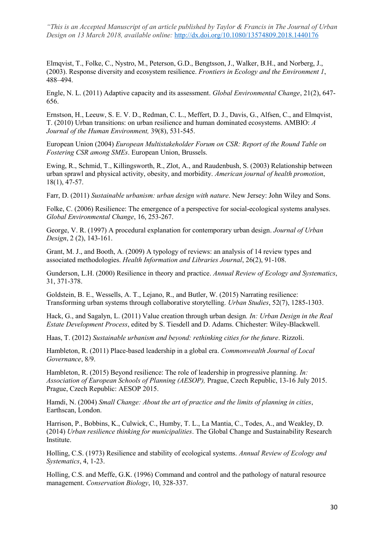Elmqvist, T., Folke, C., Nystro, M., Peterson, G.D., Bengtsson, J., Walker, B.H., and Norberg, J., (2003). Response diversity and ecosystem resilience. *Frontiers in Ecology and the Environment 1*, 488–494.

Engle, N. L. (2011) Adaptive capacity and its assessment. *Global Environmental Change*, 21(2), 647- 656.

Ernstson, H., Leeuw, S. E. V. D., Redman, C. L., Meffert, D. J., Davis, G., Alfsen, C., and Elmqvist, T. (2010) Urban transitions: on urban resilience and human dominated ecosystems. AMBIO: *A Journal of the Human Environment,* 39(8), 531-545.

European Union (2004) *European Multistakeholder Forum on CSR: Report of the Round Table on Fostering CSR among SMEs*. European Union, Brussels.

Ewing, R., Schmid, T., Killingsworth, R., Zlot, A., and Raudenbush, S. (2003) Relationship between urban sprawl and physical activity, obesity, and morbidity. *American journal of health promotion*, 18(1), 47-57.

Farr, D. (2011) *Sustainable urbanism: urban design with nature*. New Jersey: John Wiley and Sons.

Folke, C. (2006) Resilience: The emergence of a perspective for social-ecological systems analyses. *Global Environmental Change*, 16, 253-267.

George, V. R. (1997) A procedural explanation for contemporary urban design. *Journal of Urban Design*, 2 (2), 143-161.

Grant, M. J., and Booth, A. (2009) A typology of reviews: an analysis of 14 review types and associated methodologies. *Health Information and Libraries Journal*, 26(2), 91-108.

Gunderson, L.H. (2000) Resilience in theory and practice. *Annual Review of Ecology and Systematics*, 31, 371-378.

Goldstein, B. E., Wessells, A. T., Lejano, R., and Butler, W. (2015) Narrating resilience: Transforming urban systems through collaborative storytelling. *Urban Studies*, 52(7), 1285-1303.

Hack, G., and Sagalyn, L. (2011) Value creation through urban design*. In: Urban Design in the Real Estate Development Process*, edited by S. Tiesdell and D. Adams. Chichester: Wiley-Blackwell.

Haas, T. (2012) *Sustainable urbanism and beyond: rethinking cities for the future*. Rizzoli.

Hambleton, R. (2011) Place-based leadership in a global era. *Commonwealth Journal of Local Governance*, 8/9.

Hambleton, R. (2015) Beyond resilience: The role of leadership in progressive planning. *In: Association of European Schools of Planning (AESOP),* Prague, Czech Republic, 13-16 July 2015. Prague, Czech Republic: AESOP 2015.

Hamdi, N. (2004) *Small Change: About the art of practice and the limits of planning in cities*, Earthscan, London.

Harrison, P., Bobbins, K., Culwick, C., Humby, T. L., La Mantia, C., Todes, A., and Weakley, D. (2014) *Urban resilience thinking for municipalities*. The Global Change and Sustainability Research Institute.

Holling, C.S. (1973) Resilience and stability of ecological systems. *Annual Review of Ecology and Systematics*, 4, 1-23.

Holling, C.S. and Meffe, G.K. (1996) Command and control and the pathology of natural resource management. *Conservation Biology*, 10, 328-337.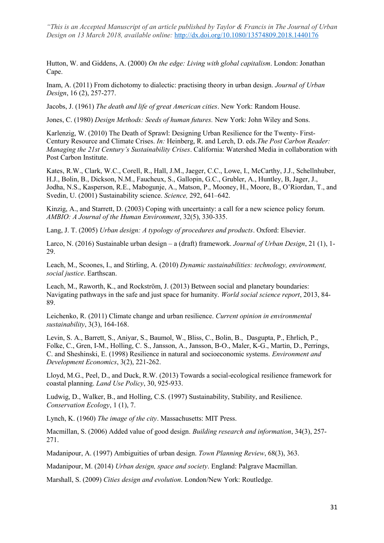Hutton, W. and Giddens, A. (2000) *On the edge: Living with global capitalism*. London: Jonathan Cape.

Inam, A. (2011) From dichotomy to dialectic: practising theory in urban design. *Journal of Urban Design*, 16 (2), 257-277.

Jacobs, J. (1961) *The death and life of great American cities*. New York: Random House.

Jones, C. (1980) *Design Methods: Seeds of human futures.* New York: John Wiley and Sons.

Karlenzig, W. (2010) The Death of Sprawl: Designing Urban Resilience for the Twenty- First-Century Resource and Climate Crises. *In:* Heinberg, R. and Lerch, D. eds.*The Post Carbon Reader: Managing the 21st Century's Sustainability Crises*. California: Watershed Media in collaboration with Post Carbon Institute.

Kates, R.W., Clark, W.C., Corell, R., Hall, J.M., Jaeger, C.C., Lowe, I., McCarthy, J.J., Schellnhuber, H.J., Bolin, B., Dickson, N.M., Faucheux, S., Gallopin, G.C., Grubler, A., Huntley, B, Jager, J., Jodha, N.S., Kasperson, R.E., Mabogunje, A., Matson, P., Mooney, H., Moore, B., O'Riordan, T., and Svedin, U. (2001) Sustainability science. *Science,* 292, 641–642.

Kinzig, A., and Starrett, D. (2003) Coping with uncertainty: a call for a new science policy forum. *AMBIO: A Journal of the Human Environment*, 32(5), 330-335.

Lang, J. T. (2005) *Urban design: A typology of procedures and products*. Oxford: Elsevier.

Larco, N. (2016) Sustainable urban design – a (draft) framework. *Journal of Urban Design*, 21 (1), 1- 29.

Leach, M., Scoones, I., and Stirling, A. (2010) *Dynamic sustainabilities: technology, environment, social justice*. Earthscan.

Leach, M., Raworth, K., and Rockström, J. (2013) Between social and planetary boundaries: Navigating pathways in the safe and just space for humanity. *World social science report*, 2013, 84- 89.

Leichenko, R. (2011) Climate change and urban resilience. *Current opinion in environmental sustainability*, 3(3), 164-168.

Levin, S. A., Barrett, S., Aniyar, S., Baumol, W., Bliss, C., Bolin, B., Dasgupta, P., Ehrlich, P., Folke, C., Gren, I-M., Holling, C. S., Jansson, A., Jansson, B-O., Maler, K-G., Martin, D., Perrings, C. and Sheshinski, E. (1998) Resilience in natural and socioeconomic systems. *Environment and Development Economics*, 3(2), 221-262.

Lloyd, M.G., Peel, D., and Duck, R.W. (2013) Towards a social-ecological resilience framework for coastal planning. *Land Use Policy*, 30, 925-933.

Ludwig, D., Walker, B., and Holling, C.S. (1997) Sustainability, Stability, and Resilience. *Conservation Ecology*, 1 (1), 7.

Lynch, K. (1960) *The image of the city*. Massachusetts: MIT Press.

Macmillan, S. (2006) Added value of good design. *Building research and information*, 34(3), 257- 271.

Madanipour, A. (1997) Ambiguities of urban design. *Town Planning Review*, 68(3), 363.

Madanipour, M. (2014) *Urban design, space and society*. England: Palgrave Macmillan.

Marshall, S. (2009) *Cities design and evolution*. London/New York: Routledge.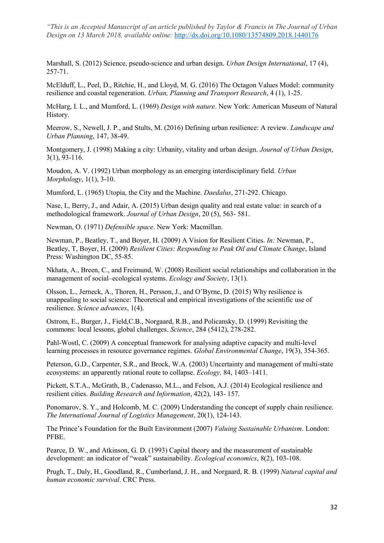Marshall, S. (2012) Science, pseudo-science and urban design. *Urban Design International*, 17 (4), 257-71.

McElduff, L., Peel, D., Ritchie, H., and Lloyd, M. G. (2016) The Octagon Values Model: community resilience and coastal regeneration. *Urban, Planning and Transport Research*, 4 (1), 1-25.

McHarg, I. L., and Mumford, L. (1969) *Design with nature*. New York: American Museum of Natural History.

Meerow, S., Newell, J. P., and Stults, M. (2016) Defining urban resilience: A review. *Landscape and Urban Planning*, 147, 38-49.

Montgomery, J. (1998) Making a city: Urbanity, vitality and urban design. *Journal of Urban Design*, 3(1), 93-116.

Moudon, A. V. (1992) Urban morphology as an emerging interdisciplinary field. *Urban Morphology*, 1(1), 3-10.

Mumford, L. (1965) Utopia, the City and the Machine. *Daedalus*, 271-292. Chicago.

Nase, I., Berry, J., and Adair, A. (2015) Urban design quality and real estate value: in search of a methodological framework. *Journal of Urban Design*, 20 (5), 563- 581.

Newman, O. (1971) *Defensible space*. New York: Macmillan.

Newman, P., Beatley, T., and Boyer, H. (2009) A Vision for Resilient Cities. *In:* Newman, P., Beatley, T, Boyer, H. (2009) *Resilient Cities: Responding to Peak Oil and Climate Change*, Island Press: Washington DC, 55-85.

Nkhata, A., Breen, C., and Freimund, W. (2008) Resilient social relationships and collaboration in the management of social–ecological systems. *Ecology and Society*, 13(1).

Olsson, L., Jerneck, A., Thoren, H., Persson, J., and O'Byrne, D. (2015) Why resilience is unappealing to social science: Theoretical and empirical investigations of the scientific use of resilience. *Science advances*, 1(4).

Ostrom, E., Burger, J., Field,C.B., Norgaard, R.B., and Policansky, D. (1999) Revisiting the commons: local lessons, global challenges. *Science*, 284 (5412), 278-282.

Pahl-Wostl, C. (2009) A conceptual framework for analysing adaptive capacity and multi-level learning processes in resource governance regimes. *Global Environmental Change*, 19(3), 354-365.

Peterson, G.D., Carpenter, S.R., and Brock, W.A. (2003) Uncertainty and management of multi-state ecosystems: an apparently rational route to collapse. *Ecology,* 84, 1403–1411.

Pickett, S.T.A., McGrath, B., Cadenasso, M.L., and Felson, A.J. (2014) Ecological resilience and resilient cities. *Building Research and Information*, 42(2), 143- 157.

Ponomarov, S. Y., and Holcomb, M. C. (2009) Understanding the concept of supply chain resilience. *The International Journal of Logistics Management*, 20(1), 124-143.

The Prince's Foundation for the Built Environment (2007) *Valuing Sustainable Urbanism*. London: PFBE.

Pearce, D. W., and Atkinson, G. D. (1993) Capital theory and the measurement of sustainable development: an indicator of "weak" sustainability. *Ecological economics*, 8(2), 103-108.

Prugh, T., Daly, H., Goodland, R., Cumberland, J. H., and Norgaard, R. B. (1999) *Natural capital and human economic survival*. CRC Press.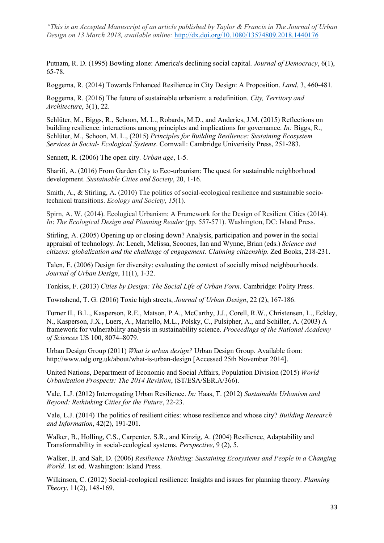Putnam, R. D. (1995) Bowling alone: America's declining social capital. *Journal of Democracy*, 6(1), 65-78.

Roggema, R. (2014) Towards Enhanced Resilience in City Design: A Proposition. *Land*, 3, 460-481.

Roggema, R. (2016) The future of sustainable urbanism: a redefinition. *City, Territory and Architecture*, 3(1), 22.

Schlüter, M., Biggs, R., Schoon, M. L., Robards, M.D., and Anderies, J.M. (2015) Reflections on building resilience: interactions among principles and implications for governance. *In:* Biggs, R., Schlüter, M., Schoon, M. L., (2015) *Principles for Building Resilience: Sustaining Ecosystem Services in Social- Ecological Systems*. Cornwall: Cambridge Univerisity Press, 251-283.

Sennett, R. (2006) The open city. *Urban age*, 1-5.

Sharifi, A. (2016) From Garden City to Eco-urbanism: The quest for sustainable neighborhood development. *Sustainable Cities and Society*, 20, 1-16.

Smith, A., & Stirling, A. (2010) The politics of social-ecological resilience and sustainable sociotechnical transitions. *Ecology and Society*, *15*(1).

Spirn, A. W. (2014). Ecological Urbanism: A Framework for the Design of Resilient Cities (2014). *In*: *The Ecological Design and Planning Reader* (pp. 557-571). Washington, DC: Island Press.

Stirling, A. (2005) Opening up or closing down? Analysis, participation and power in the social appraisal of technology. *In*: Leach, Melissa, Scoones, Ian and Wynne, Brian (eds.) *Science and citizens: globalization and the challenge of engagement. Claiming citizenship*. Zed Books, 218-231.

Talen, E. (2006) Design for diversity: evaluating the context of socially mixed neighbourhoods. *Journal of Urban Design*, 11(1), 1-32.

Tonkiss, F. (2013) *Cities by Design: The Social Life of Urban Form*. Cambridge: Polity Press.

Townshend, T. G. (2016) Toxic high streets, *Journal of Urban Design*, 22 (2), 167-186.

Turner II., B.L., Kasperson, R.E., Matson, P.A., McCarthy, J.J., Corell, R.W., Christensen, L., Eckley, N., Kasperson, J.X., Luers, A., Martello, M.L., Polsky, C., Pulsipher, A., and Schiller, A. (2003) A framework for vulnerability analysis in sustainability science. *Proceedings of the National Academy of Sciences* US 100, 8074–8079.

Urban Design Group (2011) *What is urban design?* Urban Design Group. Available from: http://www.udg.org.uk/about/what-is-urban-design [Accessed 25th November 2014].

United Nations, Department of Economic and Social Affairs, Population Division (2015) *World Urbanization Prospects: The 2014 Revision*, (ST/ESA/SER.A/366).

Vale, L.J. (2012) Interrogating Urban Resilience. *In:* Haas, T. (2012) *Sustainable Urbanism and Beyond: Rethinking Cities for the Future*, 22-23.

Vale, L.J. (2014) The politics of resilient cities: whose resilience and whose city? *Building Research and Information*, 42(2), 191-201.

Walker, B., Holling, C.S., Carpenter, S.R., and Kinzig, A. (2004) Resilience, Adaptability and Transformability in social-ecological systems. *Perspective*, 9 (2), 5.

Walker, B. and Salt, D. (2006) *Resilience Thinking: Sustaining Ecosystems and People in a Changing World*. 1st ed. Washington: Island Press.

Wilkinson, C. (2012) Social-ecological resilience: Insights and issues for planning theory. *Planning Theory*, 11(2), 148-169.